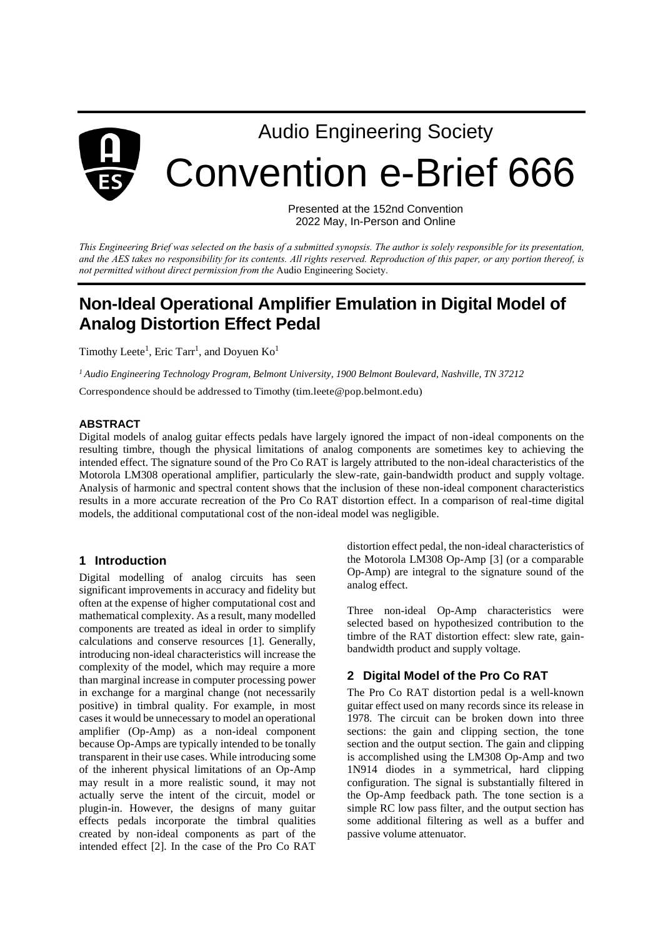

Presented at the 152nd Convention 2022 May, In-Person and Online

*This Engineering Brief was selected on the basis of a submitted synopsis. The author is solely responsible for its presentation, and the AES takes no responsibility for its contents. All rights reserved. Reproduction of this paper, or any portion thereof, is not permitted without direct permission from the* Audio Engineering Society.

# **Non-Ideal Operational Amplifier Emulation in Digital Model of Analog Distortion Effect Pedal**

Timothy Leete<sup>1</sup>, Eric Tarr<sup>1</sup>, and Doyuen  $Ko<sup>1</sup>$ 

*<sup>1</sup> Audio Engineering Technology Program, Belmont University, 1900 Belmont Boulevard, Nashville, TN 37212*

Correspondence should be addressed to Timothy (tim.leete@pop.belmont.edu)

# **ABSTRACT**

Digital models of analog guitar effects pedals have largely ignored the impact of non-ideal components on the resulting timbre, though the physical limitations of analog components are sometimes key to achieving the intended effect. The signature sound of the Pro Co RAT is largely attributed to the non-ideal characteristics of the Motorola LM308 operational amplifier, particularly the slew-rate, gain-bandwidth product and supply voltage. Analysis of harmonic and spectral content shows that the inclusion of these non-ideal component characteristics results in a more accurate recreation of the Pro Co RAT distortion effect. In a comparison of real-time digital models, the additional computational cost of the non-ideal model was negligible.

# **1 Introduction**

Digital modelling of analog circuits has seen significant improvements in accuracy and fidelity but often at the expense of higher computational cost and mathematical complexity. As a result, many modelled components are treated as ideal in order to simplify calculations and conserve resources [1]. Generally, introducing non-ideal characteristics will increase the complexity of the model, which may require a more than marginal increase in computer processing power in exchange for a marginal change (not necessarily positive) in timbral quality. For example, in most cases it would be unnecessary to model an operational amplifier (Op-Amp) as a non-ideal component because Op-Amps are typically intended to be tonally transparent in their use cases. While introducing some of the inherent physical limitations of an Op-Amp may result in a more realistic sound, it may not actually serve the intent of the circuit, model or plugin-in. However, the designs of many guitar effects pedals incorporate the timbral qualities created by non-ideal components as part of the intended effect [2]. In the case of the Pro Co RAT distortion effect pedal, the non-ideal characteristics of the Motorola LM308 Op-Amp [3] (or a comparable Op-Amp) are integral to the signature sound of the analog effect.

Three non-ideal Op-Amp characteristics were selected based on hypothesized contribution to the timbre of the RAT distortion effect: slew rate, gainbandwidth product and supply voltage.

# **2 Digital Model of the Pro Co RAT**

The Pro Co RAT distortion pedal is a well-known guitar effect used on many records since its release in 1978. The circuit can be broken down into three sections: the gain and clipping section, the tone section and the output section. The gain and clipping is accomplished using the LM308 Op-Amp and two 1N914 diodes in a symmetrical, hard clipping configuration. The signal is substantially filtered in the Op-Amp feedback path. The tone section is a simple RC low pass filter, and the output section has some additional filtering as well as a buffer and passive volume attenuator.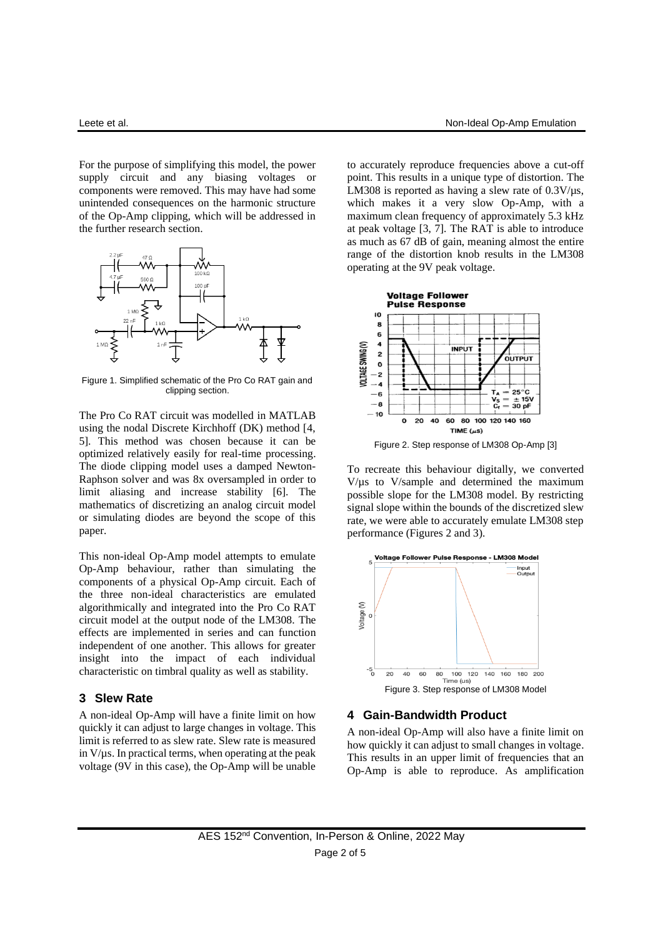For the purpose of simplifying this model, the power supply circuit and any biasing voltages or components were removed. This may have had some unintended consequences on the harmonic structure of the Op-Amp clipping, which will be addressed in the further research section.



Figure 1. Simplified schematic of the Pro Co RAT gain and clipping section.

The Pro Co RAT circuit was modelled in MATLAB using the nodal Discrete Kirchhoff (DK) method [4, 5]. This method was chosen because it can be optimized relatively easily for real-time processing. The diode clipping model uses a damped Newton-Raphson solver and was 8x oversampled in order to limit aliasing and increase stability [6]. The mathematics of discretizing an analog circuit model or simulating diodes are beyond the scope of this paper.

This non-ideal Op-Amp model attempts to emulate Op-Amp behaviour, rather than simulating the components of a physical Op-Amp circuit. Each of the three non-ideal characteristics are emulated algorithmically and integrated into the Pro Co RAT circuit model at the output node of the LM308. The effects are implemented in series and can function independent of one another. This allows for greater insight into the impact of each individual characteristic on timbral quality as well as stability.

#### **3 Slew Rate**

A non-ideal Op-Amp will have a finite limit on how quickly it can adjust to large changes in voltage. This limit is referred to as slew rate. Slew rate is measured in  $V/\mu$ s. In practical terms, when operating at the peak voltage (9V in this case), the Op-Amp will be unable

to accurately reproduce frequencies above a cut-off point. This results in a unique type of distortion. The LM308 is reported as having a slew rate of  $0.3$ V/ $\mu$ s, which makes it a very slow Op-Amp, with a maximum clean frequency of approximately 5.3 kHz at peak voltage [3, 7]. The RAT is able to introduce as much as 67 dB of gain, meaning almost the entire range of the distortion knob results in the LM308 operating at the 9V peak voltage.



To recreate this behaviour digitally, we converted V/µs to V/sample and determined the maximum possible slope for the LM308 model. By restricting signal slope within the bounds of the discretized slew rate, we were able to accurately emulate LM308 step performance (Figures 2 and 3).



# **4 Gain-Bandwidth Product**

A non-ideal Op-Amp will also have a finite limit on how quickly it can adjust to small changes in voltage. This results in an upper limit of frequencies that an Op-Amp is able to reproduce. As amplification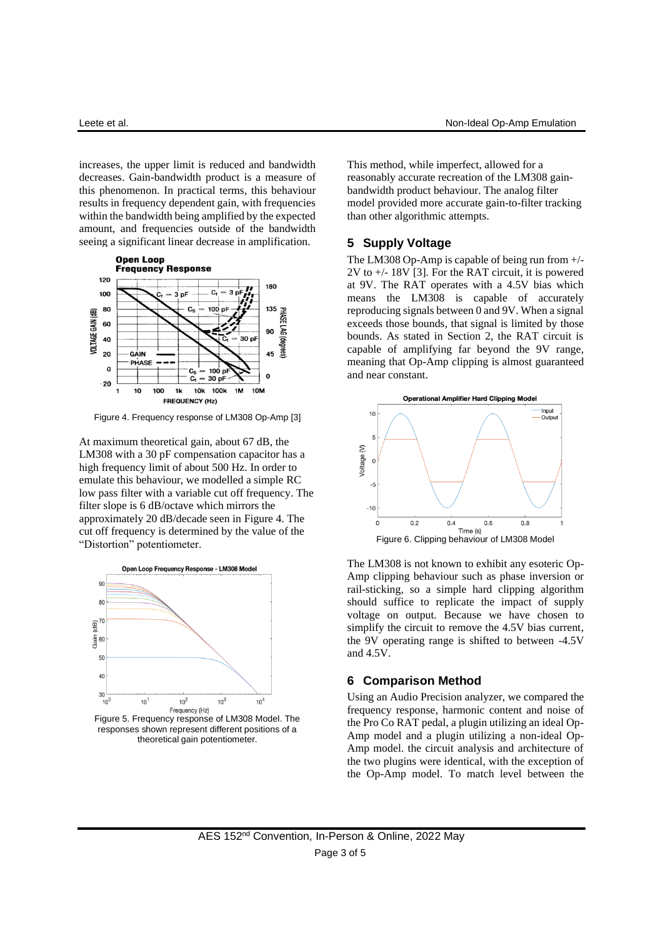increases, the upper limit is reduced and bandwidth decreases. Gain-bandwidth product is a measure of this phenomenon. In practical terms, this behaviour results in frequency dependent gain, with frequencies within the bandwidth being amplified by the expected amount, and frequencies outside of the bandwidth seeing a significant linear decrease in amplification.



Figure 4. Frequency response of LM308 Op-Amp [3]

At maximum theoretical gain, about 67 dB, the LM308 with a 30 pF compensation capacitor has a high frequency limit of about 500 Hz. In order to emulate this behaviour, we modelled a simple RC low pass filter with a variable cut off frequency. The filter slope is 6 dB/octave which mirrors the approximately 20 dB/decade seen in Figure 4. The cut off frequency is determined by the value of the "Distortion" potentiometer.





This method, while imperfect, allowed for a reasonably accurate recreation of the LM308 gainbandwidth product behaviour. The analog filter model provided more accurate gain-to-filter tracking than other algorithmic attempts.

#### **5 Supply Voltage**

The LM308 Op-Amp is capable of being run from +/-  $2V$  to  $+/- 18V$  [3]. For the RAT circuit, it is powered at 9V. The RAT operates with a 4.5V bias which means the LM308 is capable of accurately reproducing signals between 0 and 9V. When a signal exceeds those bounds, that signal is limited by those bounds. As stated in Section 2, the RAT circuit is capable of amplifying far beyond the 9V range, meaning that Op-Amp clipping is almost guaranteed and near constant.



The LM308 is not known to exhibit any esoteric Op-Amp clipping behaviour such as phase inversion or rail-sticking, so a simple hard clipping algorithm should suffice to replicate the impact of supply voltage on output. Because we have chosen to simplify the circuit to remove the 4.5V bias current, the 9V operating range is shifted to between -4.5V and 4.5V.

# **6 Comparison Method**

Using an Audio Precision analyzer, we compared the frequency response, harmonic content and noise of the Pro Co RAT pedal, a plugin utilizing an ideal Op-Amp model and a plugin utilizing a non-ideal Op-Amp model. the circuit analysis and architecture of the two plugins were identical, with the exception of the Op-Amp model. To match level between the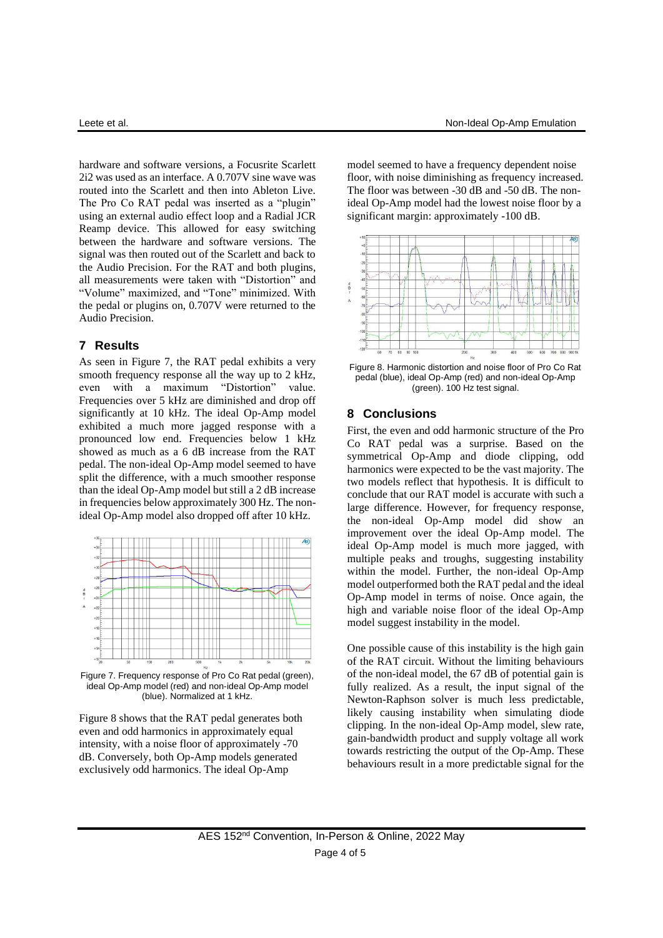hardware and software versions, a Focusrite Scarlett 2i2 was used as an interface. A 0.707V sine wave was routed into the Scarlett and then into Ableton Live. The Pro Co RAT pedal was inserted as a "plugin" using an external audio effect loop and a Radial JCR Reamp device. This allowed for easy switching between the hardware and software versions. The signal was then routed out of the Scarlett and back to the Audio Precision. For the RAT and both plugins, all measurements were taken with "Distortion" and "Volume" maximized, and "Tone" minimized. With the pedal or plugins on, 0.707V were returned to the Audio Precision.

#### **7 Results**

As seen in Figure 7, the RAT pedal exhibits a very smooth frequency response all the way up to 2 kHz, even with a maximum "Distortion" value. Frequencies over 5 kHz are diminished and drop off significantly at 10 kHz. The ideal Op-Amp model exhibited a much more jagged response with a pronounced low end. Frequencies below 1 kHz showed as much as a 6 dB increase from the RAT pedal. The non-ideal Op-Amp model seemed to have split the difference, with a much smoother response than the ideal Op-Amp model but still a 2 dB increase in frequencies below approximately 300 Hz. The nonideal Op-Amp model also dropped off after 10 kHz.



Figure 7. Frequency response of Pro Co Rat pedal (green), ideal Op-Amp model (red) and non-ideal Op-Amp model (blue). Normalized at 1 kHz.

Figure 8 shows that the RAT pedal generates both even and odd harmonics in approximately equal intensity, with a noise floor of approximately -70 dB. Conversely, both Op-Amp models generated exclusively odd harmonics. The ideal Op-Amp

model seemed to have a frequency dependent noise floor, with noise diminishing as frequency increased. The floor was between -30 dB and -50 dB. The nonideal Op-Amp model had the lowest noise floor by a significant margin: approximately -100 dB.



Figure 8. Harmonic distortion and noise floor of Pro Co Rat pedal (blue), ideal Op-Amp (red) and non-ideal Op-Amp (green). 100 Hz test signal.

# **8 Conclusions**

First, the even and odd harmonic structure of the Pro Co RAT pedal was a surprise. Based on the symmetrical Op-Amp and diode clipping, odd harmonics were expected to be the vast majority. The two models reflect that hypothesis. It is difficult to conclude that our RAT model is accurate with such a large difference. However, for frequency response, the non-ideal Op-Amp model did show an improvement over the ideal Op-Amp model. The ideal Op-Amp model is much more jagged, with multiple peaks and troughs, suggesting instability within the model. Further, the non-ideal Op-Amp model outperformed both the RAT pedal and the ideal Op-Amp model in terms of noise. Once again, the high and variable noise floor of the ideal Op-Amp model suggest instability in the model.

One possible cause of this instability is the high gain of the RAT circuit. Without the limiting behaviours of the non-ideal model, the 67 dB of potential gain is fully realized. As a result, the input signal of the Newton-Raphson solver is much less predictable, likely causing instability when simulating diode clipping. In the non-ideal Op-Amp model, slew rate, gain-bandwidth product and supply voltage all work towards restricting the output of the Op-Amp. These behaviours result in a more predictable signal for the